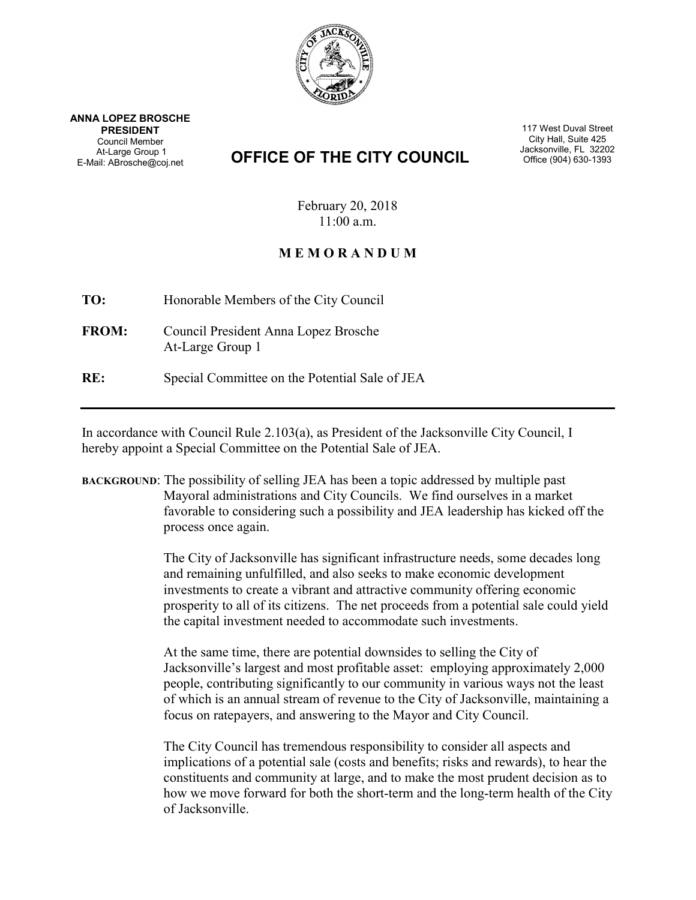

ANNA LOPEZ BROSCHE PRESIDENT Council Member At-Large Group 1 E-Mail: ABrosche@coj.net

## **OFFICE OF THE CITY COUNCIL** STRIVE Office (904) 630-1393

117 West Duval Street City Hall, Suite 425<br>Jacksonville, FL 32202

February 20, 2018 11:00 a.m.

## M E M O R A N D U M

TO: Honorable Members of the City Council

FROM: Council President Anna Lopez Brosche At-Large Group 1

RE: Special Committee on the Potential Sale of JEA

In accordance with Council Rule 2.103(a), as President of the Jacksonville City Council, I hereby appoint a Special Committee on the Potential Sale of JEA.

BACKGROUND: The possibility of selling JEA has been a topic addressed by multiple past Mayoral administrations and City Councils. We find ourselves in a market favorable to considering such a possibility and JEA leadership has kicked off the process once again.

> The City of Jacksonville has significant infrastructure needs, some decades long and remaining unfulfilled, and also seeks to make economic development investments to create a vibrant and attractive community offering economic prosperity to all of its citizens. The net proceeds from a potential sale could yield the capital investment needed to accommodate such investments.

> At the same time, there are potential downsides to selling the City of Jacksonville's largest and most profitable asset: employing approximately 2,000 people, contributing significantly to our community in various ways not the least of which is an annual stream of revenue to the City of Jacksonville, maintaining a focus on ratepayers, and answering to the Mayor and City Council.

> The City Council has tremendous responsibility to consider all aspects and implications of a potential sale (costs and benefits; risks and rewards), to hear the constituents and community at large, and to make the most prudent decision as to how we move forward for both the short-term and the long-term health of the City of Jacksonville.